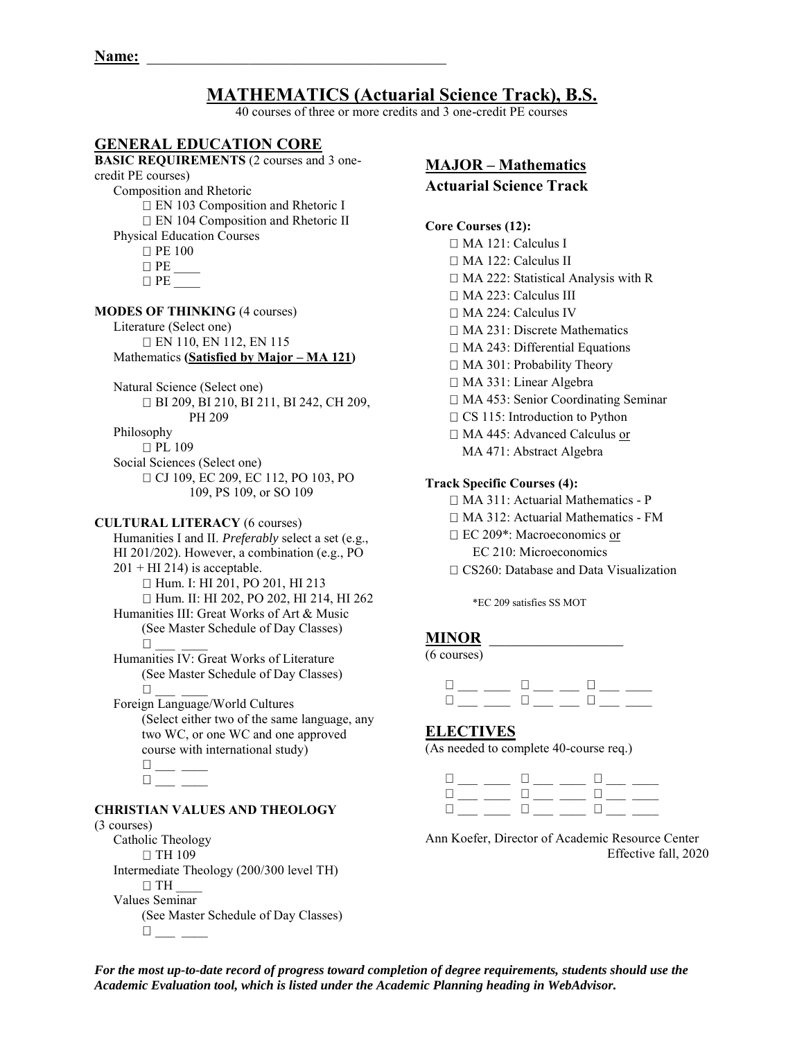# **MATHEMATICS (Actuarial Science Track), B.S.**

40 courses of three or more credits and 3 one-credit PE courses

# **GENERAL EDUCATION CORE**

**BASIC REQUIREMENTS** (2 courses and 3 onecredit PE courses) Composition and Rhetoric □ EN 103 Composition and Rhetoric I □ EN 104 Composition and Rhetoric II Physical Education Courses **D** PE 100  $\Box$  PE  $\Box$  PE **MODES OF THINKING** (4 courses) Literature (Select one) EN 110, EN 112, EN 115

 Mathematics **(Satisfied by Major – MA 121)**  Natural Science (Select one) BI 209, BI 210, BI 211, BI 242, CH 209, PH 209 Philosophy

□ PL 109 Social Sciences (Select one)

□ CJ 109, EC 209, EC 112, PO 103, PO 109, PS 109, or SO 109

#### **CULTURAL LITERACY** (6 courses)

Humanities I and II. *Preferably* select a set (e.g., HI 201/202). However, a combination (e.g., PO  $201 + HI 214$ ) is acceptable. □ Hum. I: HI 201, PO 201, HI 213 □ Hum. II: HI 202, PO 202, HI 214, HI 262 Humanities III: Great Works of Art & Music (See Master Schedule of Day Classes)  $\Box$ Humanities IV: Great Works of Literature

 (See Master Schedule of Day Classes)  $\Box$ 

 Foreign Language/World Cultures (Select either two of the same language, any two WC, or one WC and one approved course with international study)

 $^{\square}$   $\_\_$  $\Box$ 

# **CHRISTIAN VALUES AND THEOLOGY**

#### (3 courses)

Catholic Theology  $\Box$  TH 109 Intermediate Theology (200/300 level TH)  $\Box$  TH Values Seminar (See Master Schedule of Day Classes)  $\square$ 

**MAJOR – Mathematics Actuarial Science Track** 

#### **Core Courses (12):**

MA 121: Calculus I MA 122: Calculus II □ MA 222: Statistical Analysis with R MA 223: Calculus III □ MA 224: Calculus IV MA 231: Discrete Mathematics □ MA 243: Differential Equations □ MA 301: Probability Theory MA 331: Linear Algebra □ MA 453: Senior Coordinating Seminar  $\Box$  CS 115: Introduction to Python □ MA 445: Advanced Calculus or MA 471: Abstract Algebra

## **Track Specific Courses (4):**

MA 311: Actuarial Mathematics - P

MA 312: Actuarial Mathematics - FM

□ EC 209\*: Macroeconomics or

EC 210: Microeconomics

 $\Box$  CS260: Database and Data Visualization

\*EC 209 satisfies SS MOT

# **MINOR** \_\_\_\_\_\_\_\_\_\_\_\_\_\_\_\_\_

(6 courses)

 $\frac{1}{2}$  ,  $\frac{1}{2}$  ,  $\frac{1}{2}$  ,  $\frac{1}{2}$  ,  $\frac{1}{2}$  ,  $\frac{1}{2}$  ,  $\frac{1}{2}$  ,  $\frac{1}{2}$  ,  $\frac{1}{2}$  ,  $\frac{1}{2}$  ,  $\frac{1}{2}$  ,  $\frac{1}{2}$  ,  $\frac{1}{2}$  ,  $\frac{1}{2}$  ,  $\frac{1}{2}$  ,  $\frac{1}{2}$  ,  $\frac{1}{2}$  ,  $\frac{1}{2}$  ,  $\frac{1$  $\frac{1}{2}$  ,  $\frac{1}{2}$  ,  $\frac{1}{2}$  ,  $\frac{1}{2}$  ,  $\frac{1}{2}$  ,  $\frac{1}{2}$  ,  $\frac{1}{2}$  ,  $\frac{1}{2}$  ,  $\frac{1}{2}$  ,  $\frac{1}{2}$  ,  $\frac{1}{2}$ 

## **ELECTIVES**

(As needed to complete 40-course req.)



Ann Koefer, Director of Academic Resource Center Effective fall, 2020

*For the most up-to-date record of progress toward completion of degree requirements, students should use the Academic Evaluation tool, which is listed under the Academic Planning heading in WebAdvisor.*